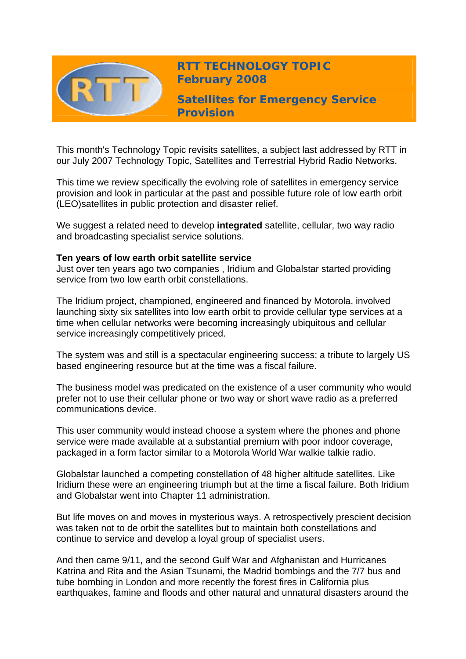

This month's Technology Topic revisits satellites, a subject last addressed by RTT in our July 2007 Technology Topic, Satellites and Terrestrial Hybrid Radio Networks.

This time we review specifically the evolving role of satellites in emergency service provision and look in particular at the past and possible future role of low earth orbit (LEO)satellites in public protection and disaster relief.

We suggest a related need to develop **integrated** satellite, cellular, two way radio and broadcasting specialist service solutions.

#### **Ten years of low earth orbit satellite service**

Just over ten years ago two companies , Iridium and Globalstar started providing service from two low earth orbit constellations.

The Iridium project, championed, engineered and financed by Motorola, involved launching sixty six satellites into low earth orbit to provide cellular type services at a time when cellular networks were becoming increasingly ubiquitous and cellular service increasingly competitively priced.

The system was and still is a spectacular engineering success; a tribute to largely US based engineering resource but at the time was a fiscal failure.

The business model was predicated on the existence of a user community who would prefer not to use their cellular phone or two way or short wave radio as a preferred communications device.

This user community would instead choose a system where the phones and phone service were made available at a substantial premium with poor indoor coverage, packaged in a form factor similar to a Motorola World War walkie talkie radio.

Globalstar launched a competing constellation of 48 higher altitude satellites. Like Iridium these were an engineering triumph but at the time a fiscal failure. Both Iridium and Globalstar went into Chapter 11 administration.

But life moves on and moves in mysterious ways. A retrospectively prescient decision was taken not to de orbit the satellites but to maintain both constellations and continue to service and develop a loyal group of specialist users.

And then came 9/11, and the second Gulf War and Afghanistan and Hurricanes Katrina and Rita and the Asian Tsunami, the Madrid bombings and the 7/7 bus and tube bombing in London and more recently the forest fires in California plus earthquakes, famine and floods and other natural and unnatural disasters around the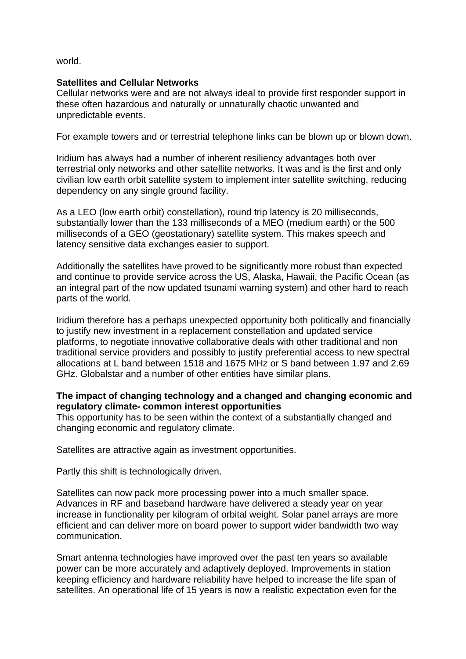world.

## **Satellites and Cellular Networks**

Cellular networks were and are not always ideal to provide first responder support in these often hazardous and naturally or unnaturally chaotic unwanted and unpredictable events.

For example towers and or terrestrial telephone links can be blown up or blown down.

Iridium has always had a number of inherent resiliency advantages both over terrestrial only networks and other satellite networks. It was and is the first and only civilian low earth orbit satellite system to implement inter satellite switching, reducing dependency on any single ground facility.

As a LEO (low earth orbit) constellation), round trip latency is 20 milliseconds, substantially lower than the 133 milliseconds of a MEO (medium earth) or the 500 milliseconds of a GEO (geostationary) satellite system. This makes speech and latency sensitive data exchanges easier to support.

Additionally the satellites have proved to be significantly more robust than expected and continue to provide service across the US, Alaska, Hawaii, the Pacific Ocean (as an integral part of the now updated tsunami warning system) and other hard to reach parts of the world.

Iridium therefore has a perhaps unexpected opportunity both politically and financially to justify new investment in a replacement constellation and updated service platforms, to negotiate innovative collaborative deals with other traditional and non traditional service providers and possibly to justify preferential access to new spectral allocations at L band between 1518 and 1675 MHz or S band between 1.97 and 2.69 GHz. Globalstar and a number of other entities have similar plans.

## **The impact of changing technology and a changed and changing economic and regulatory climate- common interest opportunities**

This opportunity has to be seen within the context of a substantially changed and changing economic and regulatory climate.

Satellites are attractive again as investment opportunities.

Partly this shift is technologically driven.

Satellites can now pack more processing power into a much smaller space. Advances in RF and baseband hardware have delivered a steady year on year increase in functionality per kilogram of orbital weight. Solar panel arrays are more efficient and can deliver more on board power to support wider bandwidth two way communication.

Smart antenna technologies have improved over the past ten years so available power can be more accurately and adaptively deployed. Improvements in station keeping efficiency and hardware reliability have helped to increase the life span of satellites. An operational life of 15 years is now a realistic expectation even for the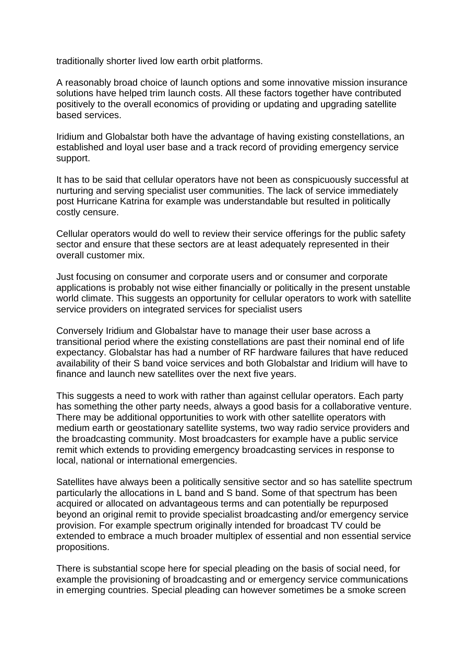traditionally shorter lived low earth orbit platforms.

A reasonably broad choice of launch options and some innovative mission insurance solutions have helped trim launch costs. All these factors together have contributed positively to the overall economics of providing or updating and upgrading satellite based services.

Iridium and Globalstar both have the advantage of having existing constellations, an established and loyal user base and a track record of providing emergency service support.

It has to be said that cellular operators have not been as conspicuously successful at nurturing and serving specialist user communities. The lack of service immediately post Hurricane Katrina for example was understandable but resulted in politically costly censure.

Cellular operators would do well to review their service offerings for the public safety sector and ensure that these sectors are at least adequately represented in their overall customer mix.

Just focusing on consumer and corporate users and or consumer and corporate applications is probably not wise either financially or politically in the present unstable world climate. This suggests an opportunity for cellular operators to work with satellite service providers on integrated services for specialist users

Conversely Iridium and Globalstar have to manage their user base across a transitional period where the existing constellations are past their nominal end of life expectancy. Globalstar has had a number of RF hardware failures that have reduced availability of their S band voice services and both Globalstar and Iridium will have to finance and launch new satellites over the next five years.

This suggests a need to work with rather than against cellular operators. Each party has something the other party needs, always a good basis for a collaborative venture. There may be additional opportunities to work with other satellite operators with medium earth or geostationary satellite systems, two way radio service providers and the broadcasting community. Most broadcasters for example have a public service remit which extends to providing emergency broadcasting services in response to local, national or international emergencies.

Satellites have always been a politically sensitive sector and so has satellite spectrum particularly the allocations in L band and S band. Some of that spectrum has been acquired or allocated on advantageous terms and can potentially be repurposed beyond an original remit to provide specialist broadcasting and/or emergency service provision. For example spectrum originally intended for broadcast TV could be extended to embrace a much broader multiplex of essential and non essential service propositions.

There is substantial scope here for special pleading on the basis of social need, for example the provisioning of broadcasting and or emergency service communications in emerging countries. Special pleading can however sometimes be a smoke screen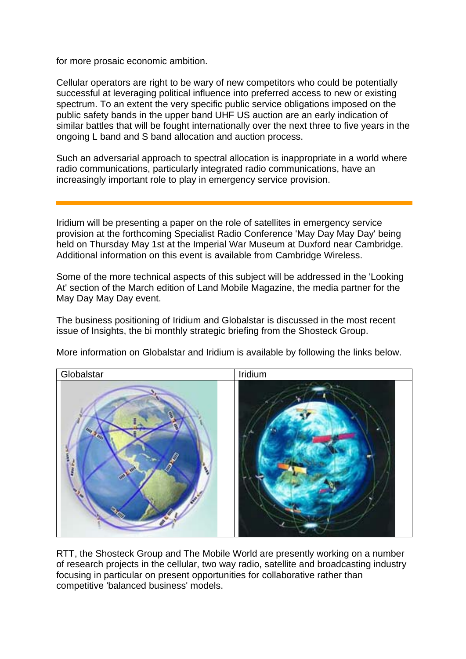for more prosaic economic ambition.

Cellular operators are right to be wary of new competitors who could be potentially successful at leveraging political influence into preferred access to new or existing spectrum. To an extent the very specific public service obligations imposed on the public safety bands in the upper band UHF US auction are an early indication of similar battles that will be fought internationally over the next three to five years in the ongoing L band and S band allocation and auction process.

Such an adversarial approach to spectral allocation is inappropriate in a world where radio communications, particularly integrated radio communications, have an increasingly important role to play in emergency service provision.

Iridium will be presenting a paper on the role of satellites in emergency service provision at the forthcoming Specialist Radio Conference 'May Day May Day' being held on Thursday May 1st at the Imperial War Museum at Duxford near Cambridge. Additional information on this event is available from Cambridge Wireless.

Some of the more technical aspects of this subject will be addressed in the 'Looking At' section of the March edition of Land Mobile Magazine, the media partner for the May Day May Day event.

The business positioning of Iridium and Globalstar is discussed in the most recent issue of Insights, the bi monthly strategic briefing from the Shosteck Group.



More information on Globalstar and Iridium is available by following the links below.

RTT, the Shosteck Group and The Mobile World are presently working on a number of research projects in the cellular, two way radio, satellite and broadcasting industry focusing in particular on present opportunities for collaborative rather than competitive 'balanced business' models.